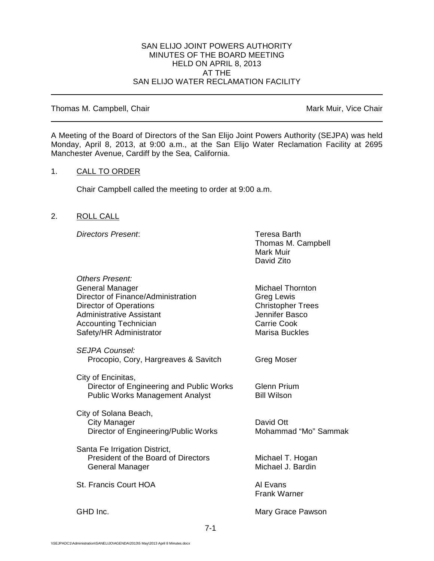#### SAN ELIJO JOINT POWERS AUTHORITY MINUTES OF THE BOARD MEETING HELD ON APRIL 8, 2013 AT THE SAN ELIJO WATER RECLAMATION FACILITY

Thomas M. Campbell, Chair Mark Muir, Vice Chair Muir, Vice Chair

A Meeting of the Board of Directors of the San Elijo Joint Powers Authority (SEJPA) was held Monday, April 8, 2013, at 9:00 a.m., at the San Elijo Water Reclamation Facility at 2695 Manchester Avenue, Cardiff by the Sea, California.

## 1. CALL TO ORDER

Chair Campbell called the meeting to order at 9:00 a.m.

## 2. ROLL CALL

**Directors Present:** Teresa Barth

Thomas M. Campbell Mark Muir David Zito

| Others Present:<br><b>General Manager</b><br>Director of Finance/Administration<br><b>Director of Operations</b><br>Administrative Assistant<br><b>Accounting Technician</b><br>Safety/HR Administrator | <b>Michael Thornton</b><br>Greg Lewis<br><b>Christopher Trees</b><br>Jennifer Basco<br><b>Carrie Cook</b><br><b>Marisa Buckles</b> |
|---------------------------------------------------------------------------------------------------------------------------------------------------------------------------------------------------------|------------------------------------------------------------------------------------------------------------------------------------|
| <b>SEJPA Counsel:</b><br>Procopio, Cory, Hargreaves & Savitch                                                                                                                                           | Greg Moser                                                                                                                         |
| City of Encinitas,<br>Director of Engineering and Public Works<br><b>Public Works Management Analyst</b>                                                                                                | <b>Glenn Prium</b><br><b>Bill Wilson</b>                                                                                           |
| City of Solana Beach,<br><b>City Manager</b><br>Director of Engineering/Public Works                                                                                                                    | David Ott<br>Mohammad "Mo" Sammak                                                                                                  |
| Santa Fe Irrigation District,<br>President of the Board of Directors<br>General Manager                                                                                                                 | Michael T. Hogan<br>Michael J. Bardin                                                                                              |
| St. Francis Court HOA                                                                                                                                                                                   | Al Evans<br><b>Frank Warner</b>                                                                                                    |
| GHD Inc.                                                                                                                                                                                                | Mary Grace Pawson                                                                                                                  |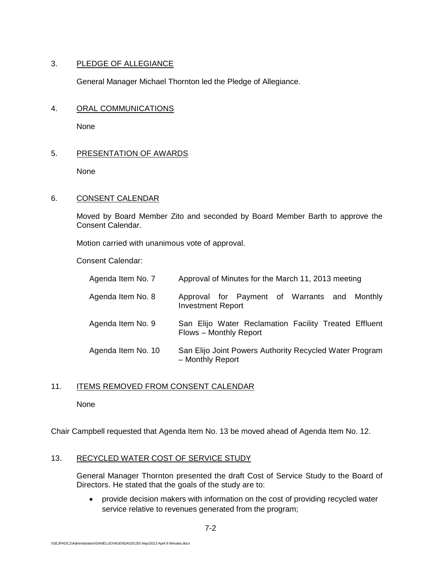# 3. PLEDGE OF ALLEGIANCE

General Manager Michael Thornton led the Pledge of Allegiance.

# 4. ORAL COMMUNICATIONS

None

# 5. PRESENTATION OF AWARDS

None

# 6. CONSENT CALENDAR

Moved by Board Member Zito and seconded by Board Member Barth to approve the Consent Calendar.

Motion carried with unanimous vote of approval.

Consent Calendar:

| Agenda Item No. 7  | Approval of Minutes for the March 11, 2013 meeting                              |
|--------------------|---------------------------------------------------------------------------------|
| Agenda Item No. 8  | Approval for Payment of Warrants and Monthly<br><b>Investment Report</b>        |
| Agenda Item No. 9  | San Elijo Water Reclamation Facility Treated Effluent<br>Flows - Monthly Report |
| Agenda Item No. 10 | San Elijo Joint Powers Authority Recycled Water Program<br>- Monthly Report     |

# 11. ITEMS REMOVED FROM CONSENT CALENDAR

None

Chair Campbell requested that Agenda Item No. 13 be moved ahead of Agenda Item No. 12.

# 13. RECYCLED WATER COST OF SERVICE STUDY

General Manager Thornton presented the draft Cost of Service Study to the Board of Directors. He stated that the goals of the study are to:

• provide decision makers with information on the cost of providing recycled water service relative to revenues generated from the program;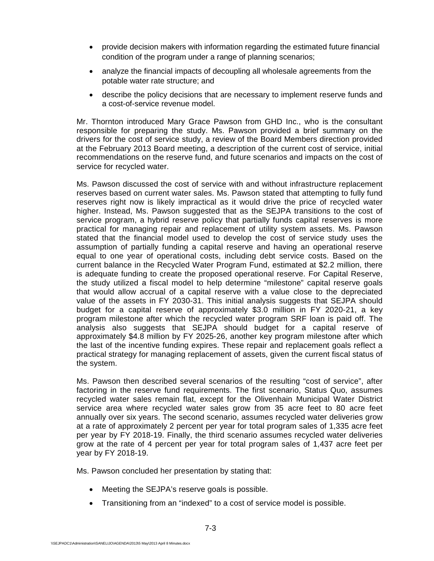- provide decision makers with information regarding the estimated future financial condition of the program under a range of planning scenarios;
- analyze the financial impacts of decoupling all wholesale agreements from the potable water rate structure; and
- describe the policy decisions that are necessary to implement reserve funds and a cost-of-service revenue model.

Mr. Thornton introduced Mary Grace Pawson from GHD Inc., who is the consultant responsible for preparing the study. Ms. Pawson provided a brief summary on the drivers for the cost of service study, a review of the Board Members direction provided at the February 2013 Board meeting, a description of the current cost of service, initial recommendations on the reserve fund, and future scenarios and impacts on the cost of service for recycled water.

Ms. Pawson discussed the cost of service with and without infrastructure replacement reserves based on current water sales. Ms. Pawson stated that attempting to fully fund reserves right now is likely impractical as it would drive the price of recycled water higher. Instead, Ms. Pawson suggested that as the SEJPA transitions to the cost of service program, a hybrid reserve policy that partially funds capital reserves is more practical for managing repair and replacement of utility system assets. Ms. Pawson stated that the financial model used to develop the cost of service study uses the assumption of partially funding a capital reserve and having an operational reserve equal to one year of operational costs, including debt service costs. Based on the current balance in the Recycled Water Program Fund, estimated at \$2.2 million, there is adequate funding to create the proposed operational reserve. For Capital Reserve, the study utilized a fiscal model to help determine "milestone" capital reserve goals that would allow accrual of a capital reserve with a value close to the depreciated value of the assets in FY 2030-31. This initial analysis suggests that SEJPA should budget for a capital reserve of approximately \$3.0 million in FY 2020-21, a key program milestone after which the recycled water program SRF loan is paid off. The analysis also suggests that SEJPA should budget for a capital reserve of approximately \$4.8 million by FY 2025-26, another key program milestone after which the last of the incentive funding expires. These repair and replacement goals reflect a practical strategy for managing replacement of assets, given the current fiscal status of the system.

Ms. Pawson then described several scenarios of the resulting "cost of service", after factoring in the reserve fund requirements. The first scenario, Status Quo, assumes recycled water sales remain flat, except for the Olivenhain Municipal Water District service area where recycled water sales grow from 35 acre feet to 80 acre feet annually over six years. The second scenario, assumes recycled water deliveries grow at a rate of approximately 2 percent per year for total program sales of 1,335 acre feet per year by FY 2018-19. Finally, the third scenario assumes recycled water deliveries grow at the rate of 4 percent per year for total program sales of 1,437 acre feet per year by FY 2018-19.

Ms. Pawson concluded her presentation by stating that:

- Meeting the SEJPA's reserve goals is possible.
- Transitioning from an "indexed" to a cost of service model is possible.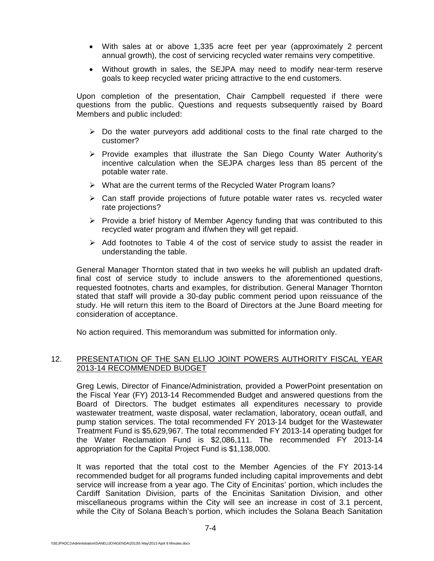- With sales at or above 1,335 acre feet per year (approximately 2 percent annual growth), the cost of servicing recycled water remains very competitive.
- Without growth in sales, the SEJPA may need to modify near-term reserve goals to keep recycled water pricing attractive to the end customers.

Upon completion of the presentation, Chair Campbell requested if there were questions from the public. Questions and requests subsequently raised by Board Members and public included:

- $\triangleright$  Do the water purveyors add additional costs to the final rate charged to the customer?
- $\triangleright$  Provide examples that illustrate the San Diego County Water Authority's incentive calculation when the SEJPA charges less than 85 percent of the potable water rate.
- $\triangleright$  What are the current terms of the Recycled Water Program loans?
- $\triangleright$  Can staff provide projections of future potable water rates vs. recycled water rate projections?
- $\triangleright$  Provide a brief history of Member Agency funding that was contributed to this recycled water program and if/when they will get repaid.
- $\triangleright$  Add footnotes to Table 4 of the cost of service study to assist the reader in understanding the table.

General Manager Thornton stated that in two weeks he will publish an updated draftfinal cost of service study to include answers to the aforementioned questions, requested footnotes, charts and examples, for distribution. General Manager Thornton stated that staff will provide a 30-day public comment period upon reissuance of the study. He will return this item to the Board of Directors at the June Board meeting for consideration of acceptance.

No action required. This memorandum was submitted for information only.

## 12. PRESENTATION OF THE SAN ELIJO JOINT POWERS AUTHORITY FISCAL YEAR 2013-14 RECOMMENDED BUDGET

Greg Lewis, Director of Finance/Administration, provided a PowerPoint presentation on the Fiscal Year (FY) 2013-14 Recommended Budget and answered questions from the Board of Directors. The budget estimates all expenditures necessary to provide wastewater treatment, waste disposal, water reclamation, laboratory, ocean outfall, and pump station services. The total recommended FY 2013-14 budget for the Wastewater Treatment Fund is \$5,629,967. The total recommended FY 2013-14 operating budget for the Water Reclamation Fund is \$2,086,111. The recommended FY 2013-14 appropriation for the Capital Project Fund is \$1,138,000.

It was reported that the total cost to the Member Agencies of the FY 2013-14 recommended budget for all programs funded including capital improvements and debt service will increase from a year ago. The City of Encinitas' portion, which includes the Cardiff Sanitation Division, parts of the Encinitas Sanitation Division, and other miscellaneous programs within the City will see an increase in cost of 3.1 percent, while the City of Solana Beach's portion, which includes the Solana Beach Sanitation